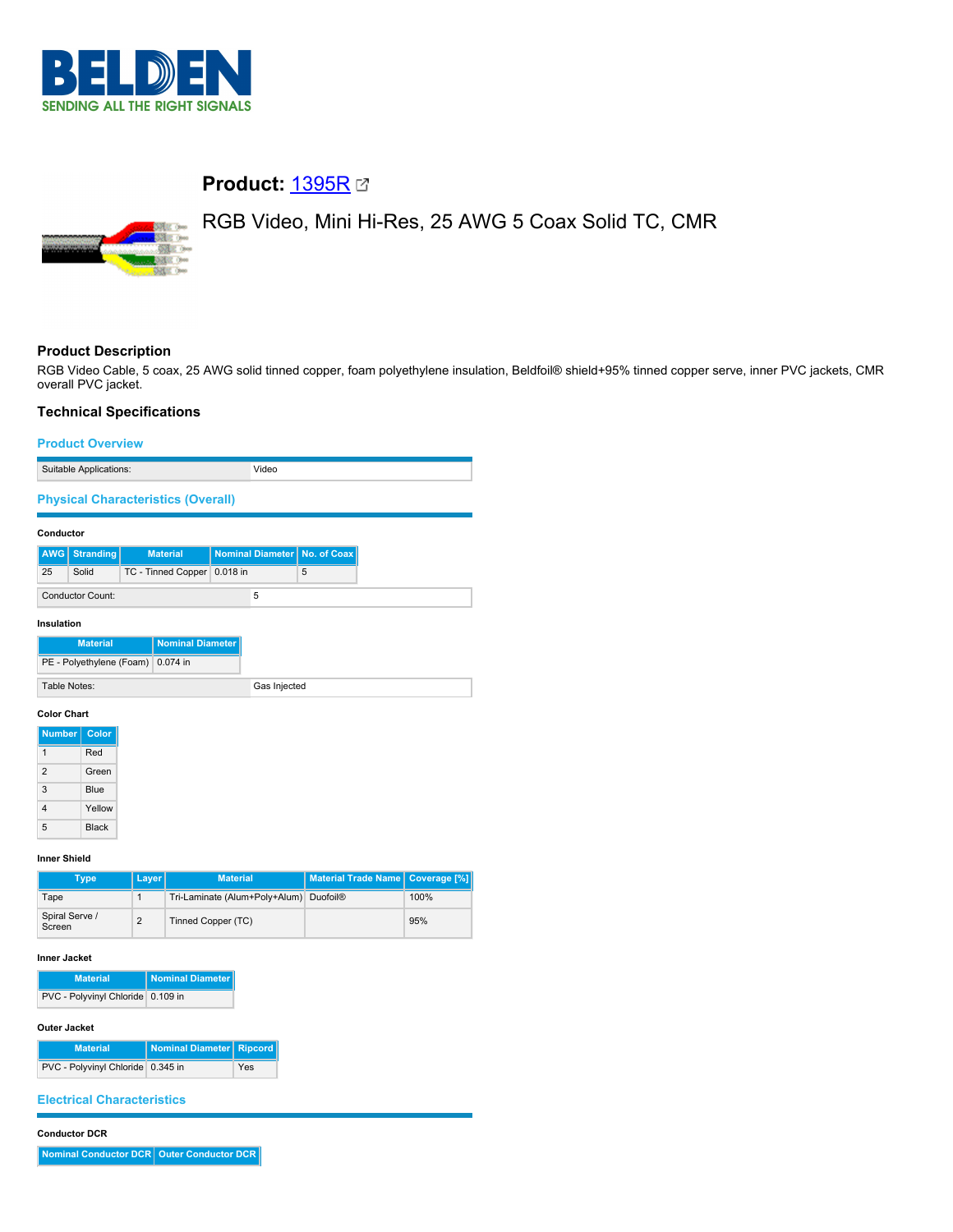

# **Product:** [1395R](https://catalog.belden.com/index.cfm?event=pd&p=PF_1395R&tab=downloads)

# **SSE 00 SEC 0**

# RGB Video, Mini Hi-Res, 25 AWG 5 Coax Solid TC, CMR

# **Product Description**

RGB Video Cable, 5 coax, 25 AWG solid tinned copper, foam polyethylene insulation, Beldfoil® shield+95% tinned copper serve, inner PVC jackets, CMR overall PVC jacket.

# **Technical Specifications**

### **Product Overview**

| Suitable Applications:                    | Video |
|-------------------------------------------|-------|
| <b>Physical Characteristics (Overall)</b> |       |
|                                           |       |

#### **Conductor**

|    | <b>AWG</b> Stranding | <b>Material</b>             |  | Nominal Diameter   No. of Coax |
|----|----------------------|-----------------------------|--|--------------------------------|
| 25 | Solid                | TC - Tinned Copper 0.018 in |  | 5                              |
|    | Conductor Count:     |                             |  |                                |

#### **Insulation**

#### **Color Chart**

| <b>Number</b>  | Color        |
|----------------|--------------|
|                | Red          |
| $\mathfrak{p}$ | Green        |
| 3              | Blue         |
| 4              | Yellow       |
| 5              | <b>Black</b> |

### **Inner Shield**

| Type                     | <b>Layer</b> | <b>Material</b>                                    | Material Trade Name   Coverage [%] |      |
|--------------------------|--------------|----------------------------------------------------|------------------------------------|------|
| Tape                     |              | Tri-Laminate (Alum+Poly+Alum) Duofoil <sup>®</sup> |                                    | 100% |
| Spiral Serve /<br>Screen | ◠            | Tinned Copper (TC)                                 |                                    | 95%  |

# **Inner Jacket**

| <b>Material</b>                   | Nominal Diameter |
|-----------------------------------|------------------|
| PVC - Polyvinyl Chloride 0.109 in |                  |

# **Outer Jacket**

| <b>Material</b>                   | Nominal Diameter   Ripcord |     |
|-----------------------------------|----------------------------|-----|
| PVC - Polyvinyl Chloride 0.345 in |                            | Yes |

## **Electrical Characteristics**

#### **Conductor DCR**

**Nominal Conductor DCR** Outer Conductor DCR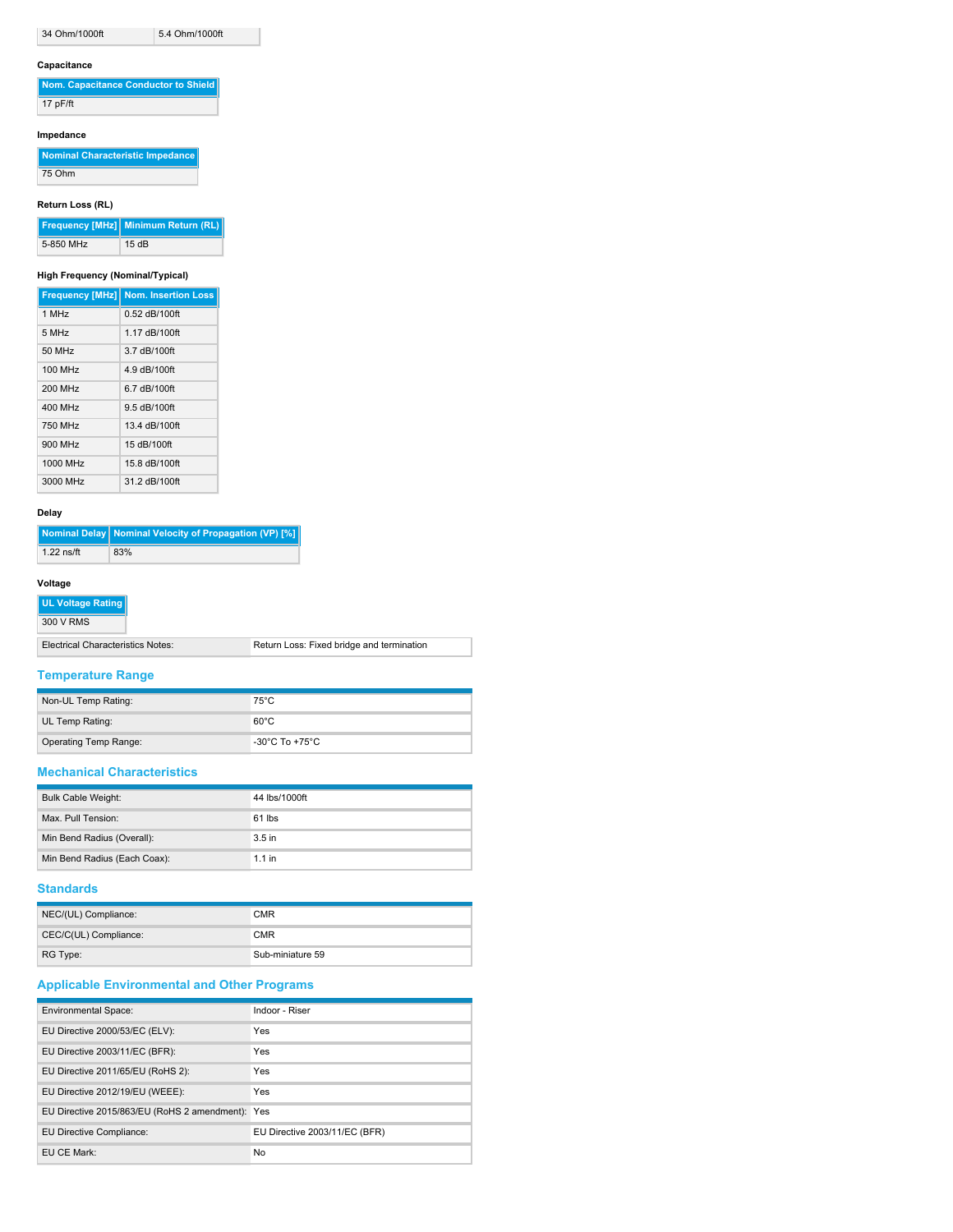34 Ohm/1000ft 5.4 Ohm/1000ft

# **Capacitance**

| Nom. Capacitance Conductor to Shield |
|--------------------------------------|
| 17 pF/ft                             |

#### **Impedance**

**Nominal Characteristic Impedance**  $75$  Ohm

# **Return Loss (RL)**

|           | Frequency [MHz] Minimum Return (RL) |
|-----------|-------------------------------------|
| 5-850 MHz | 15dB                                |

#### **High Frequency (Nominal/Typical)**

|                   | <b>Frequency [MHz] Nom. Insertion Loss</b> |
|-------------------|--------------------------------------------|
| 1 MHz             | $0.52$ dB/100ft                            |
| 5 MH <sub>7</sub> | 1.17 dB/100ft                              |
| 50 MHz            | 3.7 dB/100ft                               |
| 100 MHz           | 4.9 dB/100ft                               |
| 200 MHz           | 6.7 dB/100ft                               |
| 400 MHz           | 9.5 dB/100ft                               |
| 750 MHz           | 13.4 dB/100ft                              |
| 900 MHz           | 15 dB/100ft                                |
| 1000 MHz          | 15.8 dB/100ft                              |
| 3000 MHz          | 31.2 dB/100ft                              |

# **Delay**

|              | Nominal Delay   Nominal Velocity of Propagation (VP) [%] |
|--------------|----------------------------------------------------------|
| $1.22$ ns/ft | 83%                                                      |

#### **Voltage**

| I UL Voltage Rating I             |                                           |
|-----------------------------------|-------------------------------------------|
| 300 V RMS                         |                                           |
| Electrical Characteristics Notes: | Return Loss: Fixed bridge and termination |

# **Temperature Range**

| Non-UL Temp Rating:          | $75^{\circ}$ C                       |
|------------------------------|--------------------------------------|
| UL Temp Rating:              | $60^{\circ}$ C                       |
| <b>Operating Temp Range:</b> | -30 $^{\circ}$ C To +75 $^{\circ}$ C |

# **Mechanical Characteristics**

| <b>Bulk Cable Weight:</b>    | 44 lbs/1000ft     |
|------------------------------|-------------------|
| Max. Pull Tension:           | $61$ lbs          |
| Min Bend Radius (Overall):   | 3.5 <sub>in</sub> |
| Min Bend Radius (Each Coax): | $1.1$ in          |

#### **Standards**

| NEC/(UL) Compliance:  | <b>CMR</b>       |
|-----------------------|------------------|
| CEC/C(UL) Compliance: | <b>CMR</b>       |
| RG Type:              | Sub-miniature 59 |

# **Applicable Environmental and Other Programs**

| <b>Environmental Space:</b>                      | Indoor - Riser                |
|--------------------------------------------------|-------------------------------|
| EU Directive 2000/53/EC (ELV):                   | Yes                           |
| EU Directive 2003/11/EC (BFR):                   | Yes                           |
| EU Directive 2011/65/EU (RoHS 2):                | Yes                           |
| EU Directive 2012/19/EU (WEEE):                  | Yes                           |
| EU Directive 2015/863/EU (RoHS 2 amendment): Yes |                               |
| EU Directive Compliance:                         | EU Directive 2003/11/EC (BFR) |
| EU CE Mark:                                      | No                            |